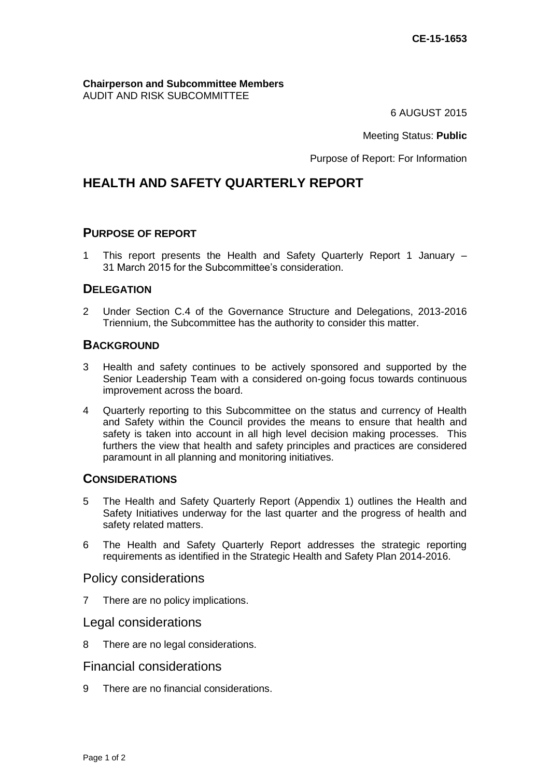**Chairperson and Subcommittee Members** AUDIT AND RISK SUBCOMMITTEE

6 AUGUST 2015

Meeting Status: **Public**

Purpose of Report: For Information

# **HEALTH AND SAFETY QUARTERLY REPORT**

#### **PURPOSE OF REPORT**

1 This report presents the Health and Safety Quarterly Report 1 January – 31 March 2015 for the Subcommittee's consideration.

### **DELEGATION**

2 Under Section C.4 of the Governance Structure and Delegations, 2013-2016 Triennium, the Subcommittee has the authority to consider this matter.

### **BACKGROUND**

- 3 Health and safety continues to be actively sponsored and supported by the Senior Leadership Team with a considered on-going focus towards continuous improvement across the board.
- 4 Quarterly reporting to this Subcommittee on the status and currency of Health and Safety within the Council provides the means to ensure that health and safety is taken into account in all high level decision making processes. This furthers the view that health and safety principles and practices are considered paramount in all planning and monitoring initiatives.

#### **CONSIDERATIONS**

- 5 The Health and Safety Quarterly Report (Appendix 1) outlines the Health and Safety Initiatives underway for the last quarter and the progress of health and safety related matters.
- 6 The Health and Safety Quarterly Report addresses the strategic reporting requirements as identified in the Strategic Health and Safety Plan 2014-2016.

#### Policy considerations

7 There are no policy implications.

### Legal considerations

8 There are no legal considerations.

### Financial considerations

9 There are no financial considerations.